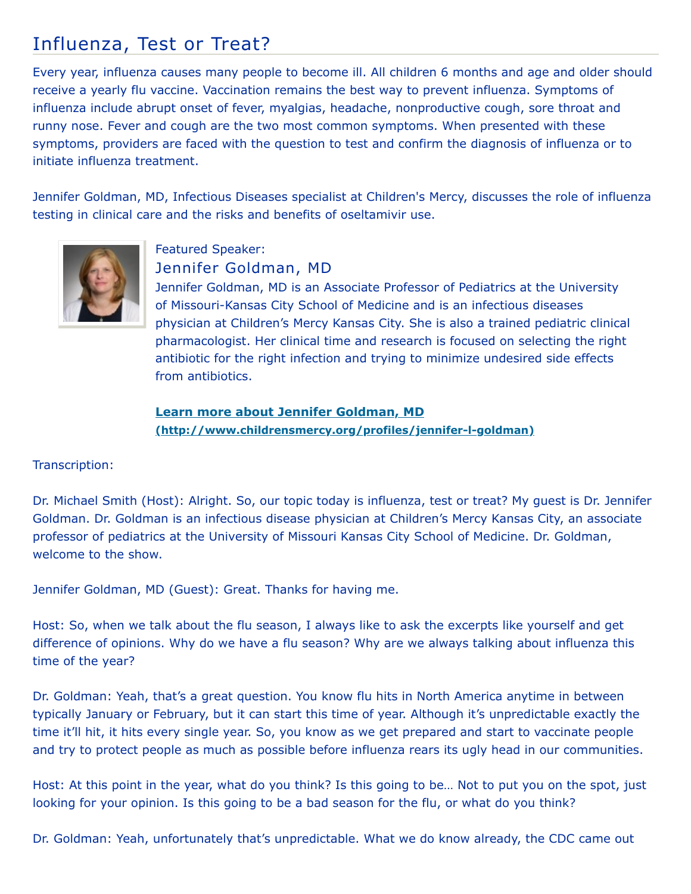## Influenza, Test or Treat?

Every year, influenza causes many people to become ill. All children 6 months and age and older should receive a yearly flu vaccine. Vaccination remains the best way to prevent influenza. Symptoms of influenza include abrupt onset of fever, myalgias, headache, nonproductive cough, sore throat and runny nose. Fever and cough are the two most common symptoms. When presented with these symptoms, providers are faced with the question to test and confirm the diagnosis of influenza or to initiate influenza treatment.

Jennifer Goldman, MD, Infectious Diseases specialist at Children's Mercy, discusses the role of influenza testing in clinical care and the risks and benefits of oseltamivir use.



## Featured Speaker: Jennifer Goldman, MD

Jennifer Goldman, MD is an Associate Professor of Pediatrics at the University of Missouri-Kansas City School of Medicine and is an infectious diseases physician at Children's Mercy Kansas City. She is also a trained pediatric clinical pharmacologist. Her clinical time and research is focused on selecting the right antibiotic for the right infection and trying to minimize undesired side effects from antibiotics.

**Learn more about Jennifer Goldman, MD [\(http://www.childrensmercy.org/profiles/jennifer-l-goldman\)](http://www.childrensmercy.org/profiles/jennifer-l-goldman)**

## Transcription:

Dr. Michael Smith (Host): Alright. So, our topic today is influenza, test or treat? My guest is Dr. Jennifer Goldman. Dr. Goldman is an infectious disease physician at Children's Mercy Kansas City, an associate professor of pediatrics at the University of Missouri Kansas City School of Medicine. Dr. Goldman, welcome to the show.

Jennifer Goldman, MD (Guest): Great. Thanks for having me.

Host: So, when we talk about the flu season, I always like to ask the excerpts like yourself and get difference of opinions. Why do we have a flu season? Why are we always talking about influenza this time of the year?

Dr. Goldman: Yeah, that's a great question. You know flu hits in North America anytime in between typically January or February, but it can start this time of year. Although it's unpredictable exactly the time it'll hit, it hits every single year. So, you know as we get prepared and start to vaccinate people and try to protect people as much as possible before influenza rears its ugly head in our communities.

Host: At this point in the year, what do you think? Is this going to be… Not to put you on the spot, just looking for your opinion. Is this going to be a bad season for the flu, or what do you think?

Dr. Goldman: Yeah, unfortunately that's unpredictable. What we do know already, the CDC came out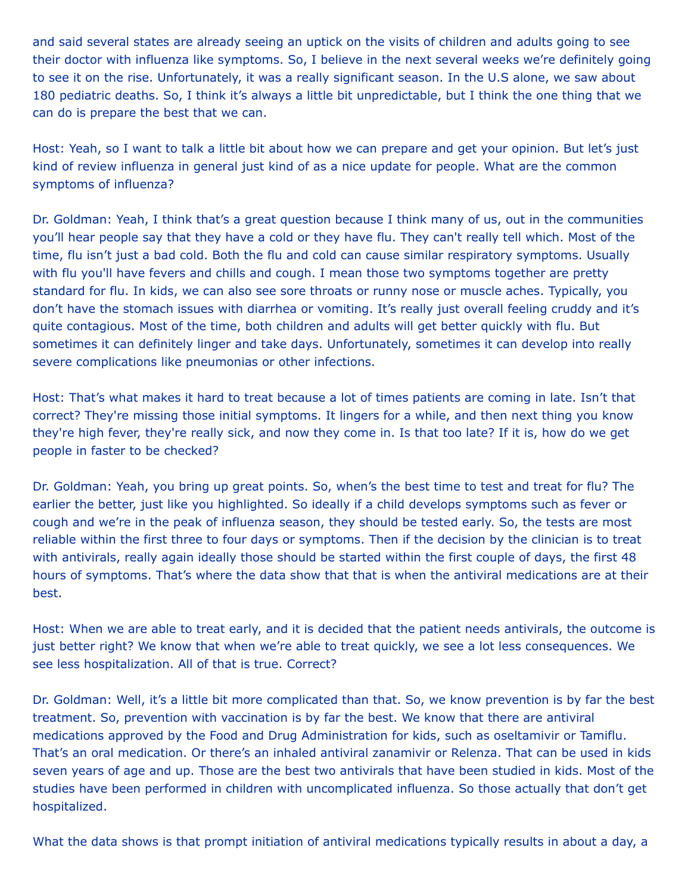and said several states are already seeing an uptick on the visits of children and adults going to see their doctor with influenza like symptoms. So, I believe in the next several weeks we're definitely going to see it on the rise. Unfortunately, it was a really significant season. In the U.S alone, we saw about 180 pediatric deaths. So, I think it's always a little bit unpredictable, but I think the one thing that we can do is prepare the best that we can.

Host: Yeah, so I want to talk a little bit about how we can prepare and get your opinion. But let's just kind of review influenza in general just kind of as a nice update for people. What are the common symptoms of influenza?

Dr. Goldman: Yeah, I think that's a great question because I think many of us, out in the communities you'll hear people say that they have a cold or they have flu. They can't really tell which. Most of the time, flu isn't just a bad cold. Both the flu and cold can cause similar respiratory symptoms. Usually with flu you'll have fevers and chills and cough. I mean those two symptoms together are pretty standard for flu. In kids, we can also see sore throats or runny nose or muscle aches. Typically, you don't have the stomach issues with diarrhea or vomiting. It's really just overall feeling cruddy and it's quite contagious. Most of the time, both children and adults will get better quickly with flu. But sometimes it can definitely linger and take days. Unfortunately, sometimes it can develop into really severe complications like pneumonias or other infections.

Host: That's what makes it hard to treat because a lot of times patients are coming in late. Isn't that correct? They're missing those initial symptoms. It lingers for a while, and then next thing you know they're high fever, they're really sick, and now they come in. Is that too late? If it is, how do we get people in faster to be checked?

Dr. Goldman: Yeah, you bring up great points. So, when's the best time to test and treat for flu? The earlier the better, just like you highlighted. So ideally if a child develops symptoms such as fever or cough and we're in the peak of influenza season, they should be tested early. So, the tests are most reliable within the first three to four days or symptoms. Then if the decision by the clinician is to treat with antivirals, really again ideally those should be started within the first couple of days, the first 48 hours of symptoms. That's where the data show that that is when the antiviral medications are at their best.

Host: When we are able to treat early, and it is decided that the patient needs antivirals, the outcome is just better right? We know that when we're able to treat quickly, we see a lot less consequences. We see less hospitalization. All of that is true. Correct?

Dr. Goldman: Well, it's a little bit more complicated than that. So, we know prevention is by far the best treatment. So, prevention with vaccination is by far the best. We know that there are antiviral medications approved by the Food and Drug Administration for kids, such as oseltamivir or Tamiflu. That's an oral medication. Or there's an inhaled antiviral zanamivir or Relenza. That can be used in kids seven years of age and up. Those are the best two antivirals that have been studied in kids. Most of the studies have been performed in children with uncomplicated influenza. So those actually that don't get hospitalized.

What the data shows is that prompt initiation of antiviral medications typically results in about a day, a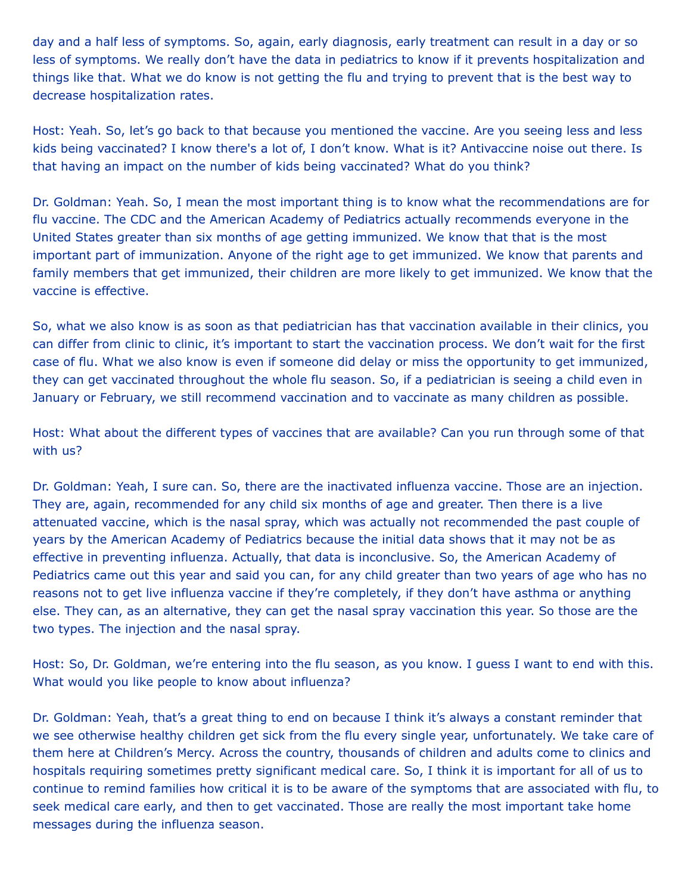day and a half less of symptoms. So, again, early diagnosis, early treatment can result in a day or so less of symptoms. We really don't have the data in pediatrics to know if it prevents hospitalization and things like that. What we do know is not getting the flu and trying to prevent that is the best way to decrease hospitalization rates.

Host: Yeah. So, let's go back to that because you mentioned the vaccine. Are you seeing less and less kids being vaccinated? I know there's a lot of, I don't know. What is it? Antivaccine noise out there. Is that having an impact on the number of kids being vaccinated? What do you think?

Dr. Goldman: Yeah. So, I mean the most important thing is to know what the recommendations are for flu vaccine. The CDC and the American Academy of Pediatrics actually recommends everyone in the United States greater than six months of age getting immunized. We know that that is the most important part of immunization. Anyone of the right age to get immunized. We know that parents and family members that get immunized, their children are more likely to get immunized. We know that the vaccine is effective.

So, what we also know is as soon as that pediatrician has that vaccination available in their clinics, you can differ from clinic to clinic, it's important to start the vaccination process. We don't wait for the first case of flu. What we also know is even if someone did delay or miss the opportunity to get immunized, they can get vaccinated throughout the whole flu season. So, if a pediatrician is seeing a child even in January or February, we still recommend vaccination and to vaccinate as many children as possible.

Host: What about the different types of vaccines that are available? Can you run through some of that with us?

Dr. Goldman: Yeah, I sure can. So, there are the inactivated influenza vaccine. Those are an injection. They are, again, recommended for any child six months of age and greater. Then there is a live attenuated vaccine, which is the nasal spray, which was actually not recommended the past couple of years by the American Academy of Pediatrics because the initial data shows that it may not be as effective in preventing influenza. Actually, that data is inconclusive. So, the American Academy of Pediatrics came out this year and said you can, for any child greater than two years of age who has no reasons not to get live influenza vaccine if they're completely, if they don't have asthma or anything else. They can, as an alternative, they can get the nasal spray vaccination this year. So those are the two types. The injection and the nasal spray.

Host: So, Dr. Goldman, we're entering into the flu season, as you know. I guess I want to end with this. What would you like people to know about influenza?

Dr. Goldman: Yeah, that's a great thing to end on because I think it's always a constant reminder that we see otherwise healthy children get sick from the flu every single year, unfortunately. We take care of them here at Children's Mercy. Across the country, thousands of children and adults come to clinics and hospitals requiring sometimes pretty significant medical care. So, I think it is important for all of us to continue to remind families how critical it is to be aware of the symptoms that are associated with flu, to seek medical care early, and then to get vaccinated. Those are really the most important take home messages during the influenza season.